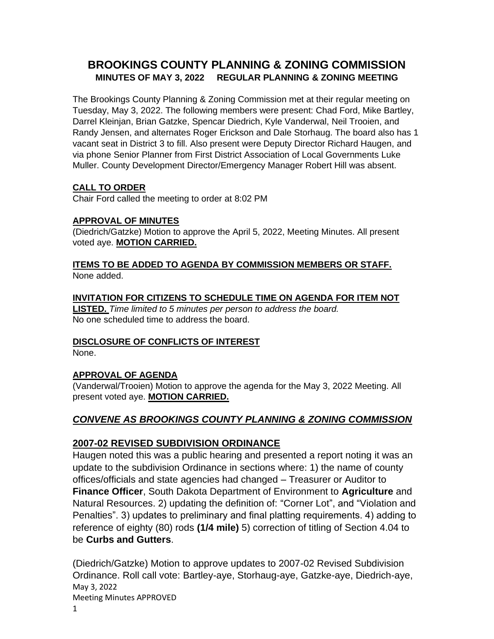# **BROOKINGS COUNTY PLANNING & ZONING COMMISSION MINUTES OF MAY 3, 2022 REGULAR PLANNING & ZONING MEETING**

The Brookings County Planning & Zoning Commission met at their regular meeting on Tuesday, May 3, 2022. The following members were present: Chad Ford, Mike Bartley, Darrel Kleinjan, Brian Gatzke, Spencar Diedrich, Kyle Vanderwal, Neil Trooien, and Randy Jensen, and alternates Roger Erickson and Dale Storhaug. The board also has 1 vacant seat in District 3 to fill. Also present were Deputy Director Richard Haugen, and via phone Senior Planner from First District Association of Local Governments Luke Muller. County Development Director/Emergency Manager Robert Hill was absent.

# **CALL TO ORDER**

Chair Ford called the meeting to order at 8:02 PM

## **APPROVAL OF MINUTES**

(Diedrich/Gatzke) Motion to approve the April 5, 2022, Meeting Minutes. All present voted aye. **MOTION CARRIED.**

#### **ITEMS TO BE ADDED TO AGENDA BY COMMISSION MEMBERS OR STAFF.** None added.

## **INVITATION FOR CITIZENS TO SCHEDULE TIME ON AGENDA FOR ITEM NOT**

**LISTED.** *Time limited to 5 minutes per person to address the board.*  No one scheduled time to address the board.

## **DISCLOSURE OF CONFLICTS OF INTEREST**

None.

# **APPROVAL OF AGENDA**

(Vanderwal/Trooien) Motion to approve the agenda for the May 3, 2022 Meeting. All present voted aye. **MOTION CARRIED.**

# *CONVENE AS BROOKINGS COUNTY PLANNING & ZONING COMMISSION*

# **2007-02 REVISED SUBDIVISION ORDINANCE**

Haugen noted this was a public hearing and presented a report noting it was an update to the subdivision Ordinance in sections where: 1) the name of county offices/officials and state agencies had changed – Treasurer or Auditor to **Finance Officer**, South Dakota Department of Environment to **Agriculture** and Natural Resources. 2) updating the definition of: "Corner Lot", and "Violation and Penalties". 3) updates to preliminary and final platting requirements. 4) adding to reference of eighty (80) rods **(1/4 mile)** 5) correction of titling of Section 4.04 to be **Curbs and Gutters**.

May 3, 2022 Meeting Minutes APPROVED (Diedrich/Gatzke) Motion to approve updates to 2007-02 Revised Subdivision Ordinance. Roll call vote: Bartley-aye, Storhaug-aye, Gatzke-aye, Diedrich-aye,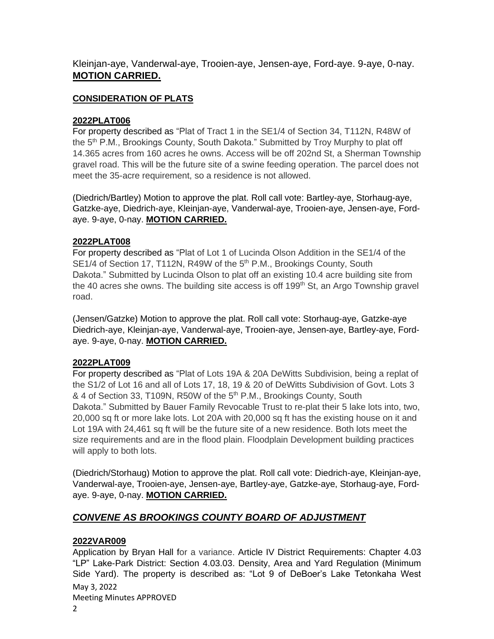Kleinjan-aye, Vanderwal-aye, Trooien-aye, Jensen-aye, Ford-aye. 9-aye, 0-nay. **MOTION CARRIED.**

#### **CONSIDERATION OF PLATS**

#### **2022PLAT006**

For property described as "Plat of Tract 1 in the SE1/4 of Section 34, T112N, R48W of the 5<sup>th</sup> P.M., Brookings County, South Dakota." Submitted by Troy Murphy to plat off 14.365 acres from 160 acres he owns. Access will be off 202nd St, a Sherman Township gravel road. This will be the future site of a swine feeding operation. The parcel does not meet the 35-acre requirement, so a residence is not allowed.

(Diedrich/Bartley) Motion to approve the plat. Roll call vote: Bartley-aye, Storhaug-aye, Gatzke-aye, Diedrich-aye, Kleinjan-aye, Vanderwal-aye, Trooien-aye, Jensen-aye, Fordaye. 9-aye, 0-nay. **MOTION CARRIED.**

#### **2022PLAT008**

For property described as "Plat of Lot 1 of Lucinda Olson Addition in the SE1/4 of the SE1/4 of Section 17, T112N, R49W of the 5<sup>th</sup> P.M., Brookings County, South Dakota." Submitted by Lucinda Olson to plat off an existing 10.4 acre building site from the 40 acres she owns. The building site access is off 199<sup>th</sup> St, an Argo Township gravel road.

(Jensen/Gatzke) Motion to approve the plat. Roll call vote: Storhaug-aye, Gatzke-aye Diedrich-aye, Kleinjan-aye, Vanderwal-aye, Trooien-aye, Jensen-aye, Bartley-aye, Fordaye. 9-aye, 0-nay. **MOTION CARRIED.**

#### **2022PLAT009**

For property described as "Plat of Lots 19A & 20A DeWitts Subdivision, being a replat of the S1/2 of Lot 16 and all of Lots 17, 18, 19 & 20 of DeWitts Subdivision of Govt. Lots 3 & 4 of Section 33, T109N, R50W of the 5<sup>th</sup> P.M., Brookings County, South Dakota." Submitted by Bauer Family Revocable Trust to re-plat their 5 lake lots into, two, 20,000 sq ft or more lake lots. Lot 20A with 20,000 sq ft has the existing house on it and Lot 19A with 24,461 sq ft will be the future site of a new residence. Both lots meet the size requirements and are in the flood plain. Floodplain Development building practices will apply to both lots.

(Diedrich/Storhaug) Motion to approve the plat. Roll call vote: Diedrich-aye, Kleinjan-aye, Vanderwal-aye, Trooien-aye, Jensen-aye, Bartley-aye, Gatzke-aye, Storhaug-aye, Fordaye. 9-aye, 0-nay. **MOTION CARRIED.**

# *CONVENE AS BROOKINGS COUNTY BOARD OF ADJUSTMENT*

## **2022VAR009**

May 3, 2022 Meeting Minutes APPROVED Application by Bryan Hall for a variance. Article IV District Requirements: Chapter 4.03 "LP" Lake-Park District: Section 4.03.03. Density, Area and Yard Regulation (Minimum Side Yard). The property is described as: "Lot 9 of DeBoer's Lake Tetonkaha West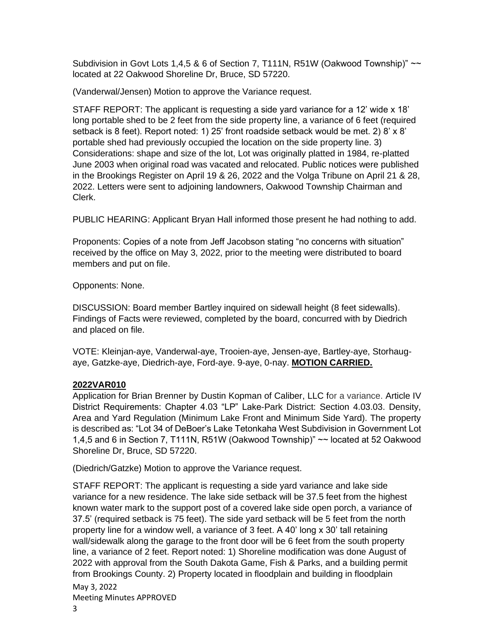Subdivision in Govt Lots 1,4,5 & 6 of Section 7, T111N, R51W (Oakwood Township)" ~~ located at 22 Oakwood Shoreline Dr, Bruce, SD 57220.

(Vanderwal/Jensen) Motion to approve the Variance request.

STAFF REPORT: The applicant is requesting a side yard variance for a 12' wide x 18' long portable shed to be 2 feet from the side property line, a variance of 6 feet (required setback is 8 feet). Report noted: 1) 25' front roadside setback would be met. 2) 8' x 8' portable shed had previously occupied the location on the side property line. 3) Considerations: shape and size of the lot, Lot was originally platted in 1984, re-platted June 2003 when original road was vacated and relocated. Public notices were published in the Brookings Register on April 19 & 26, 2022 and the Volga Tribune on April 21 & 28, 2022. Letters were sent to adjoining landowners, Oakwood Township Chairman and Clerk.

PUBLIC HEARING: Applicant Bryan Hall informed those present he had nothing to add.

Proponents: Copies of a note from Jeff Jacobson stating "no concerns with situation" received by the office on May 3, 2022, prior to the meeting were distributed to board members and put on file.

Opponents: None.

DISCUSSION: Board member Bartley inquired on sidewall height (8 feet sidewalls). Findings of Facts were reviewed, completed by the board, concurred with by Diedrich and placed on file.

VOTE: Kleinjan-aye, Vanderwal-aye, Trooien-aye, Jensen-aye, Bartley-aye, Storhaugaye, Gatzke-aye, Diedrich-aye, Ford-aye. 9-aye, 0-nay. **MOTION CARRIED.**

## **2022VAR010**

Application for Brian Brenner by Dustin Kopman of Caliber, LLC for a variance. Article IV District Requirements: Chapter 4.03 "LP" Lake-Park District: Section 4.03.03. Density, Area and Yard Regulation (Minimum Lake Front and Minimum Side Yard). The property is described as: "Lot 34 of DeBoer's Lake Tetonkaha West Subdivision in Government Lot 1,4,5 and 6 in Section 7, T111N, R51W (Oakwood Township)" ~~ located at 52 Oakwood Shoreline Dr, Bruce, SD 57220.

(Diedrich/Gatzke) Motion to approve the Variance request.

STAFF REPORT: The applicant is requesting a side yard variance and lake side variance for a new residence. The lake side setback will be 37.5 feet from the highest known water mark to the support post of a covered lake side open porch, a variance of 37.5' (required setback is 75 feet). The side yard setback will be 5 feet from the north property line for a window well, a variance of 3 feet. A 40' long x 30' tall retaining wall/sidewalk along the garage to the front door will be 6 feet from the south property line, a variance of 2 feet. Report noted: 1) Shoreline modification was done August of 2022 with approval from the South Dakota Game, Fish & Parks, and a building permit from Brookings County. 2) Property located in floodplain and building in floodplain

May 3, 2022 Meeting Minutes APPROVED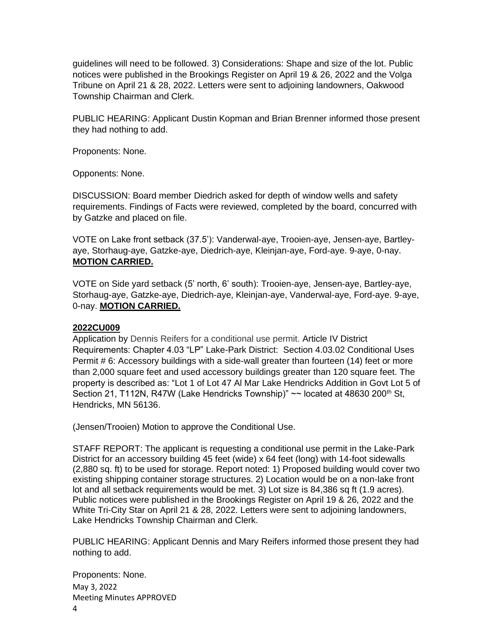guidelines will need to be followed. 3) Considerations: Shape and size of the lot. Public notices were published in the Brookings Register on April 19 & 26, 2022 and the Volga Tribune on April 21 & 28, 2022. Letters were sent to adjoining landowners, Oakwood Township Chairman and Clerk.

PUBLIC HEARING: Applicant Dustin Kopman and Brian Brenner informed those present they had nothing to add.

Proponents: None.

Opponents: None.

DISCUSSION: Board member Diedrich asked for depth of window wells and safety requirements. Findings of Facts were reviewed, completed by the board, concurred with by Gatzke and placed on file.

VOTE on Lake front setback (37.5'): Vanderwal-aye, Trooien-aye, Jensen-aye, Bartleyaye, Storhaug-aye, Gatzke-aye, Diedrich-aye, Kleinjan-aye, Ford-aye. 9-aye, 0-nay. **MOTION CARRIED.**

VOTE on Side yard setback (5' north, 6' south): Trooien-aye, Jensen-aye, Bartley-aye, Storhaug-aye, Gatzke-aye, Diedrich-aye, Kleinjan-aye, Vanderwal-aye, Ford-aye. 9-aye, 0-nay. **MOTION CARRIED.**

#### **2022CU009**

Application by Dennis Reifers for a conditional use permit. Article IV District Requirements: Chapter 4.03 "LP" Lake-Park District: Section 4.03.02 Conditional Uses Permit # 6: Accessory buildings with a side-wall greater than fourteen (14) feet or more than 2,000 square feet and used accessory buildings greater than 120 square feet. The property is described as: "Lot 1 of Lot 47 Al Mar Lake Hendricks Addition in Govt Lot 5 of Section 21, T112N, R47W (Lake Hendricks Township)"  $\sim$  located at 48630 200<sup>th</sup> St, Hendricks, MN 56136.

(Jensen/Trooien) Motion to approve the Conditional Use.

STAFF REPORT: The applicant is requesting a conditional use permit in the Lake-Park District for an accessory building 45 feet (wide) x 64 feet (long) with 14-foot sidewalls (2,880 sq. ft) to be used for storage. Report noted: 1) Proposed building would cover two existing shipping container storage structures. 2) Location would be on a non-lake front lot and all setback requirements would be met. 3) Lot size is 84,386 sq ft (1.9 acres). Public notices were published in the Brookings Register on April 19 & 26, 2022 and the White Tri-City Star on April 21 & 28, 2022. Letters were sent to adjoining landowners, Lake Hendricks Township Chairman and Clerk.

PUBLIC HEARING: Applicant Dennis and Mary Reifers informed those present they had nothing to add.

May 3, 2022 Meeting Minutes APPROVED 4 Proponents: None.